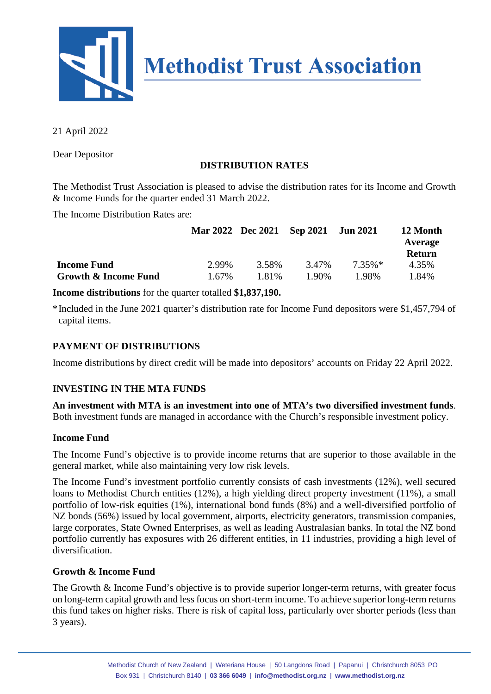

21 April 2022

Dear Depositor

## **DISTRIBUTION RATES**

The Methodist Trust Association is pleased to advise the distribution rates for its Income and Growth & Income Funds for the quarter ended 31 March 2022.

The Income Distribution Rates are:

|                      |          |       | Mar 2022 Dec 2021 Sep 2021 | <b>Jun 2021</b> | 12 Month<br>Average<br><b>Return</b> |
|----------------------|----------|-------|----------------------------|-----------------|--------------------------------------|
| <b>Income Fund</b>   | 2.99%    | 3.58% | 3.47%                      | $7.35\%*$       | 4.35%                                |
| Growth & Income Fund | $1.67\%$ | 1.81% | 1.90%                      | 1.98%           | 1.84%                                |

**Income distributions** for the quarter totalled **\$1,837,190.**

\*Included in the June 2021 quarter's distribution rate for Income Fund depositors were \$1,457,794 of capital items.

## **PAYMENT OF DISTRIBUTIONS**

Income distributions by direct credit will be made into depositors' accounts on Friday 22 April 2022.

### **INVESTING IN THE MTA FUNDS**

**An investment with MTA is an investment into one of MTA's two diversified investment funds**. Both investment funds are managed in accordance with the Church's responsible investment policy.

### **Income Fund**

The Income Fund's objective is to provide income returns that are superior to those available in the general market, while also maintaining very low risk levels.

The Income Fund's investment portfolio currently consists of cash investments (12%), well secured loans to Methodist Church entities (12%), a high yielding direct property investment (11%), a small portfolio of low-risk equities (1%), international bond funds (8%) and a well-diversified portfolio of NZ bonds (56%) issued by local government, airports, electricity generators, transmission companies, large corporates, State Owned Enterprises, as well as leading Australasian banks. In total the NZ bond portfolio currently has exposures with 26 different entities, in 11 industries, providing a high level of diversification.

### **Growth & Income Fund**

The Growth & Income Fund's objective is to provide superior longer-term returns, with greater focus on long-term capital growth and less focus on short-term income. To achieve superior long-term returns this fund takes on higher risks. There is risk of capital loss, particularly over shorter periods (less than 3 years).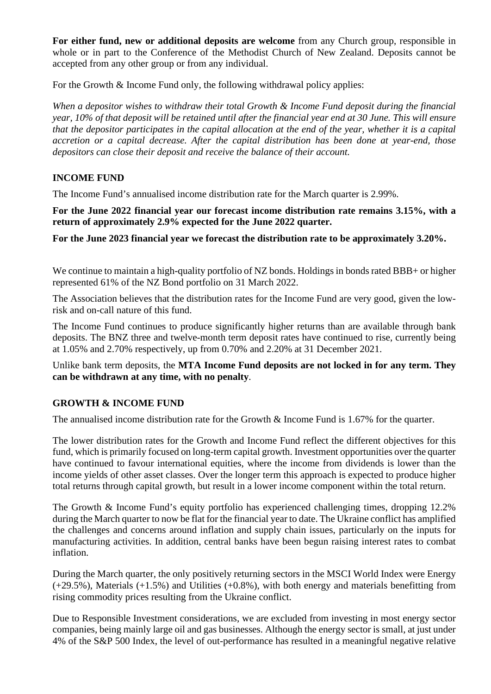**For either fund, new or additional deposits are welcome** from any Church group, responsible in whole or in part to the Conference of the Methodist Church of New Zealand. Deposits cannot be accepted from any other group or from any individual.

For the Growth & Income Fund only, the following withdrawal policy applies:

*When a depositor wishes to withdraw their total Growth & Income Fund deposit during the financial year, 10% of that deposit will be retained until after the financial year end at 30 June. This will ensure that the depositor participates in the capital allocation at the end of the year, whether it is a capital accretion or a capital decrease. After the capital distribution has been done at year-end, those depositors can close their deposit and receive the balance of their account.*

### **INCOME FUND**

The Income Fund's annualised income distribution rate for the March quarter is 2.99%.

**For the June 2022 financial year our forecast income distribution rate remains 3.15%, with a return of approximately 2.9% expected for the June 2022 quarter.** 

**For the June 2023 financial year we forecast the distribution rate to be approximately 3.20%.**

We continue to maintain a high-quality portfolio of NZ bonds. Holdings in bonds rated BBB+ or higher represented 61% of the NZ Bond portfolio on 31 March 2022.

The Association believes that the distribution rates for the Income Fund are very good, given the lowrisk and on-call nature of this fund.

The Income Fund continues to produce significantly higher returns than are available through bank deposits. The BNZ three and twelve-month term deposit rates have continued to rise, currently being at 1.05% and 2.70% respectively, up from 0.70% and 2.20% at 31 December 2021.

Unlike bank term deposits, the **MTA Income Fund deposits are not locked in for any term. They can be withdrawn at any time, with no penalty**.

#### **GROWTH & INCOME FUND**

The annualised income distribution rate for the Growth & Income Fund is 1.67% for the quarter.

The lower distribution rates for the Growth and Income Fund reflect the different objectives for this fund, which is primarily focused on long-term capital growth. Investment opportunities over the quarter have continued to favour international equities, where the income from dividends is lower than the income yields of other asset classes. Over the longer term this approach is expected to produce higher total returns through capital growth, but result in a lower income component within the total return.

The Growth & Income Fund's equity portfolio has experienced challenging times, dropping 12.2% during the March quarter to now be flat for the financial year to date. The Ukraine conflict has amplified the challenges and concerns around inflation and supply chain issues, particularly on the inputs for manufacturing activities. In addition, central banks have been begun raising interest rates to combat inflation.

During the March quarter, the only positively returning sectors in the MSCI World Index were Energy (+29.5%), Materials (+1.5%) and Utilities (+0.8%), with both energy and materials benefitting from rising commodity prices resulting from the Ukraine conflict.

Due to Responsible Investment considerations, we are excluded from investing in most energy sector companies, being mainly large oil and gas businesses. Although the energy sector is small, at just under 4% of the S&P 500 Index, the level of out-performance has resulted in a meaningful negative relative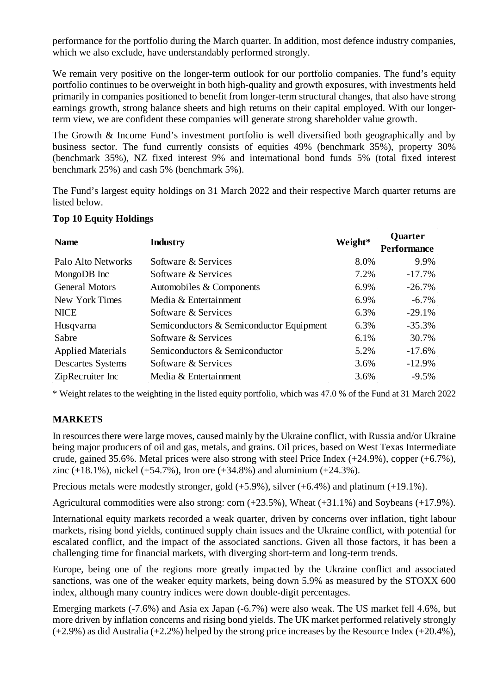performance for the portfolio during the March quarter. In addition, most defence industry companies, which we also exclude, have understandably performed strongly.

We remain very positive on the longer-term outlook for our portfolio companies. The fund's equity portfolio continues to be overweight in both high-quality and growth exposures, with investments held primarily in companies positioned to benefit from longer-term structural changes, that also have strong earnings growth, strong balance sheets and high returns on their capital employed. With our longerterm view, we are confident these companies will generate strong shareholder value growth.

The Growth & Income Fund's investment portfolio is well diversified both geographically and by business sector. The fund currently consists of equities 49% (benchmark 35%), property 30% (benchmark 35%), NZ fixed interest 9% and international bond funds 5% (total fixed interest benchmark 25%) and cash 5% (benchmark 5%).

The Fund's largest equity holdings on 31 March 2022 and their respective March quarter returns are listed below.

### **Top 10 Equity Holdings**

| <b>Name</b><br><b>Industry</b> |                                          | Weight* | <b>Quarter</b><br><b>Performance</b> |
|--------------------------------|------------------------------------------|---------|--------------------------------------|
| Palo Alto Networks             | Software & Services                      | 8.0%    | 9.9%                                 |
| MongoDB Inc                    | Software & Services                      | 7.2%    | $-17.7%$                             |
| <b>General Motors</b>          | Automobiles & Components                 | 6.9%    | $-26.7\%$                            |
| New York Times                 | Media & Entertainment                    | 6.9%    | $-6.7\%$                             |
| <b>NICE</b>                    | Software & Services                      | 6.3%    | $-29.1%$                             |
| Husqvarna                      | Semiconductors & Semiconductor Equipment | 6.3%    | $-35.3%$                             |
| Sabre                          | Software & Services                      | 6.1%    | 30.7%                                |
| <b>Applied Materials</b>       | Semiconductors & Semiconductor           | 5.2%    | $-17.6%$                             |
| <b>Descartes Systems</b>       | Software & Services                      | 3.6%    | $-12.9%$                             |
| ZipRecruiter Inc               | Media & Entertainment                    | 3.6%    | $-9.5\%$                             |

\* Weight relates to the weighting in the listed equity portfolio, which was 47.0 % of the Fund at 31 March 2022

# **MARKETS**

In resources there were large moves, caused mainly by the Ukraine conflict, with Russia and/or Ukraine being major producers of oil and gas, metals, and grains. Oil prices, based on West Texas Intermediate crude, gained 35.6%. Metal prices were also strong with steel Price Index (+24.9%), copper (+6.7%), zinc (+18.1%), nickel (+54.7%), Iron ore (+34.8%) and aluminium (+24.3%).

Precious metals were modestly stronger, gold  $(+5.9\%)$ , silver  $(+6.4\%)$  and platinum  $(+19.1\%)$ .

Agricultural commodities were also strong: corn (+23.5%), Wheat (+31.1%) and Soybeans (+17.9%).

International equity markets recorded a weak quarter, driven by concerns over inflation, tight labour markets, rising bond yields, continued supply chain issues and the Ukraine conflict, with potential for escalated conflict, and the impact of the associated sanctions. Given all those factors, it has been a challenging time for financial markets, with diverging short-term and long-term trends.

Europe, being one of the regions more greatly impacted by the Ukraine conflict and associated sanctions, was one of the weaker equity markets, being down 5.9% as measured by the STOXX 600 index, although many country indices were down double-digit percentages.

Emerging markets (-7.6%) and Asia ex Japan (-6.7%) were also weak. The US market fell 4.6%, but more driven by inflation concerns and rising bond yields. The UK market performed relatively strongly  $(+2.9\%)$  as did Australia  $(+2.2\%)$  helped by the strong price increases by the Resource Index  $(+20.4\%)$ ,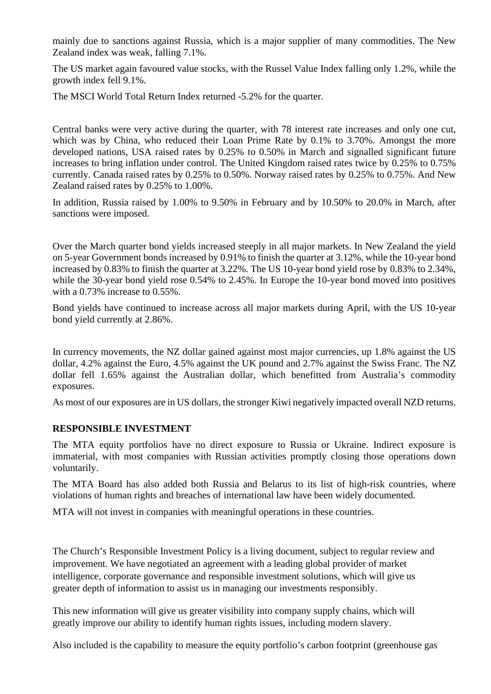mainly due to sanctions against Russia, which is a major supplier of many commodities. The New Zealand index was weak, falling 7.1%.

The US market again favoured value stocks, with the Russel Value Index falling only 1.2%, while the growth index fell 9.1%.

The MSCI World Total Return Index returned -5.2% for the quarter.

Central banks were very active during the quarter, with 78 interest rate increases and only one cut, which was by China, who reduced their Loan Prime Rate by 0.1% to 3.70%. Amongst the more developed nations, USA raised rates by 0.25% to 0.50% in March and signalled significant future increases to bring inflation under control. The United Kingdom raised rates twice by 0.25% to 0.75% currently. Canada raised rates by 0.25% to 0.50%. Norway raised rates by 0.25% to 0.75%. And New Zealand raised rates by 0.25% to 1.00%.

In addition, Russia raised by 1.00% to 9.50% in February and by 10.50% to 20.0% in March, after sanctions were imposed.

Over the March quarter bond yields increased steeply in all major markets. In New Zealand the yield on 5-year Government bonds increased by 0.91% to finish the quarter at 3.12%, while the 10-year bond increased by 0.83% to finish the quarter at 3.22%. The US 10-year bond yield rose by 0.83% to 2.34%, while the 30-year bond yield rose 0.54% to 2.45%. In Europe the 10-year bond moved into positives with a 0.73% increase to 0.55%.

Bond yields have continued to increase across all major markets during April, with the US 10-year bond yield currently at 2.86%.

In currency movements, the NZ dollar gained against most major currencies, up 1.8% against the US dollar, 4.2% against the Euro, 4.5% against the UK pound and 2.7% against the Swiss Franc. The NZ dollar fell 1.65% against the Australian dollar, which benefitted from Australia's commodity exposures.

As most of our exposures are in US dollars, the stronger Kiwi negatively impacted overall NZD returns.

### **RESPONSIBLE INVESTMENT**

The MTA equity portfolios have no direct exposure to Russia or Ukraine. Indirect exposure is immaterial, with most companies with Russian activities promptly closing those operations down voluntarily.

The MTA Board has also added both Russia and Belarus to its list of high-risk countries, where violations of human rights and breaches of international law have been widely documented.

MTA will not invest in companies with meaningful operations in these countries.

The Church's Responsible Investment Policy is a living document, subject to regular review and improvement. We have negotiated an agreement with a leading global provider of market intelligence, corporate governance and responsible investment solutions, which will give us greater depth of information to assist us in managing our investments responsibly.

This new information will give us greater visibility into company supply chains, which will greatly improve our ability to identify human rights issues, including modern slavery.

Also included is the capability to measure the equity portfolio's carbon footprint (greenhouse gas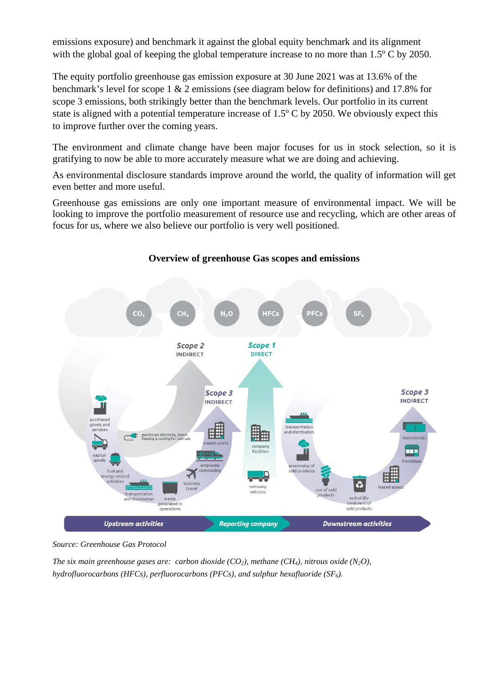emissions exposure) and benchmark it against the global equity benchmark and its alignment with the global goal of keeping the global temperature increase to no more than  $1.5^{\circ}$  C by 2050.

The equity portfolio greenhouse gas emission exposure at 30 June 2021 was at 13.6% of the benchmark's level for scope 1 & 2 emissions (see diagram below for definitions) and 17.8% for scope 3 emissions, both strikingly better than the benchmark levels. Our portfolio in its current state is aligned with a potential temperature increase of  $1.5^{\circ}$  C by 2050. We obviously expect this to improve further over the coming years.

The environment and climate change have been major focuses for us in stock selection, so it is gratifying to now be able to more accurately measure what we are doing and achieving.

As environmental disclosure standards improve around the world, the quality of information will get even better and more useful.

Greenhouse gas emissions are only one important measure of environmental impact. We will be looking to improve the portfolio measurement of resource use and recycling, which are other areas of focus for us, where we also believe our portfolio is very well positioned.



### **Overview of greenhouse Gas scopes and emissions**

*Source: Greenhouse Gas Protocol*

*The six main greenhouse gases are: carbon dioxide (CO<sub>2</sub>), methane (CH<sub>4</sub>), nitrous oxide (N<sub>2</sub>O), hydrofluorocarbons (HFCs), perfluorocarbons (PFCs), and sulphur hexafluoride (SF6).*